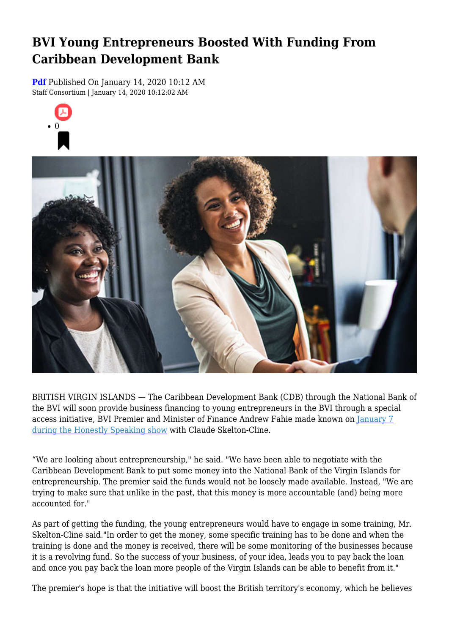## **BVI Young Entrepreneurs Boosted With Funding From Caribbean Development Bank**

**[Pdf](https://viconsortium.com/caribbean-pdf)** Published On January 14, 2020 10:12 AM Staff Consortium | January 14, 2020 10:12:02 AM





BRITISH VIRGIN ISLANDS — The Caribbean Development Bank (CDB) through the National Bank of the BVI will soon provide business financing to young entrepreneurs in the BVI through a special access initiative, BVI Premier and Minister of Finance Andrew Fahie made known on [January 7](https://www.facebook.com/HonestlySpeakingBVI/videos/623918595081085/?__xts__[0]=68.ARBk6yCXHIhMe7q4qtnQNOfC6UILKzjry4xqFBnZ6-97gw1Ry0OzCCG8fYc_dZCWBrJdEJxqWFmTWQatNM1VbjSwWT_8F2pXVcCBnnsUkMPAX12VpdBblhLdutMoshKRei2ewHbZzpdXaPvtPOR1qzQzPZS96FuxPFF6v6KYgtchJ_AMyIQJRAZyRildzDxNN8aVSGyVUI2F2p8jwQq-Bvpyj73XUyLtrxg9nLy41-MN4qStDGpAkFylAzR-8B8tXasPOW-mdkLJQIjvwBxN8LNq5iNnRwp8CDTJ9rpI6DX1Hzo3ZVvBWpFo7twfxtbWf-z8A-pZuf3qxUTqo60Q-KdGG5x7_XkxCeE&__tn__=-R) [during the Honestly Speaking show](https://www.facebook.com/HonestlySpeakingBVI/videos/623918595081085/?__xts__[0]=68.ARBk6yCXHIhMe7q4qtnQNOfC6UILKzjry4xqFBnZ6-97gw1Ry0OzCCG8fYc_dZCWBrJdEJxqWFmTWQatNM1VbjSwWT_8F2pXVcCBnnsUkMPAX12VpdBblhLdutMoshKRei2ewHbZzpdXaPvtPOR1qzQzPZS96FuxPFF6v6KYgtchJ_AMyIQJRAZyRildzDxNN8aVSGyVUI2F2p8jwQq-Bvpyj73XUyLtrxg9nLy41-MN4qStDGpAkFylAzR-8B8tXasPOW-mdkLJQIjvwBxN8LNq5iNnRwp8CDTJ9rpI6DX1Hzo3ZVvBWpFo7twfxtbWf-z8A-pZuf3qxUTqo60Q-KdGG5x7_XkxCeE&__tn__=-R) with Claude Skelton-Cline.

"We are looking about entrepreneurship," he said. "We have been able to negotiate with the Caribbean Development Bank to put some money into the National Bank of the Virgin Islands for entrepreneurship. The premier said the funds would not be loosely made available. Instead, "We are trying to make sure that unlike in the past, that this money is more accountable (and) being more accounted for "

As part of getting the funding, the young entrepreneurs would have to engage in some training, Mr. Skelton-Cline said."In order to get the money, some specific training has to be done and when the training is done and the money is received, there will be some monitoring of the businesses because it is a revolving fund. So the success of your business, of your idea, leads you to pay back the loan and once you pay back the loan more people of the Virgin Islands can be able to benefit from it."

The premier's hope is that the initiative will boost the British territory's economy, which he believes